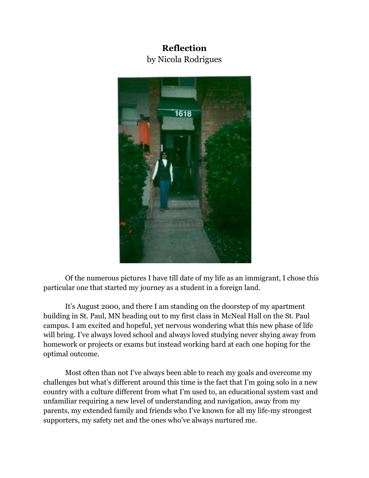## **Reflection** by Nicola Rodrigues



Of the numerous pictures I have till date of my life as an immigrant, I chose this particular one that started my journey as a student in a foreign land.

It's August 2000, and there I am standing on the doorstep of my apartment building in St. Paul, MN heading out to my first class in McNeal Hall on the St. Paul campus. I am excited and hopeful, yet nervous wondering what this new phase of life will bring. I've always loved school and always loved studying never shying away from homework or projects or exams but instead working hard at each one hoping for the optimal outcome.

Most often than not I've always been able to reach my goals and overcome my challenges but what's different around this time is the fact that I'm going solo in a new country with a culture different from what I'm used to, an educational system vast and unfamiliar requiring a new level of understanding and navigation, away from my parents, my extended family and friends who I've known for all my life-my strongest supporters, my safety net and the ones who've always nurtured me.